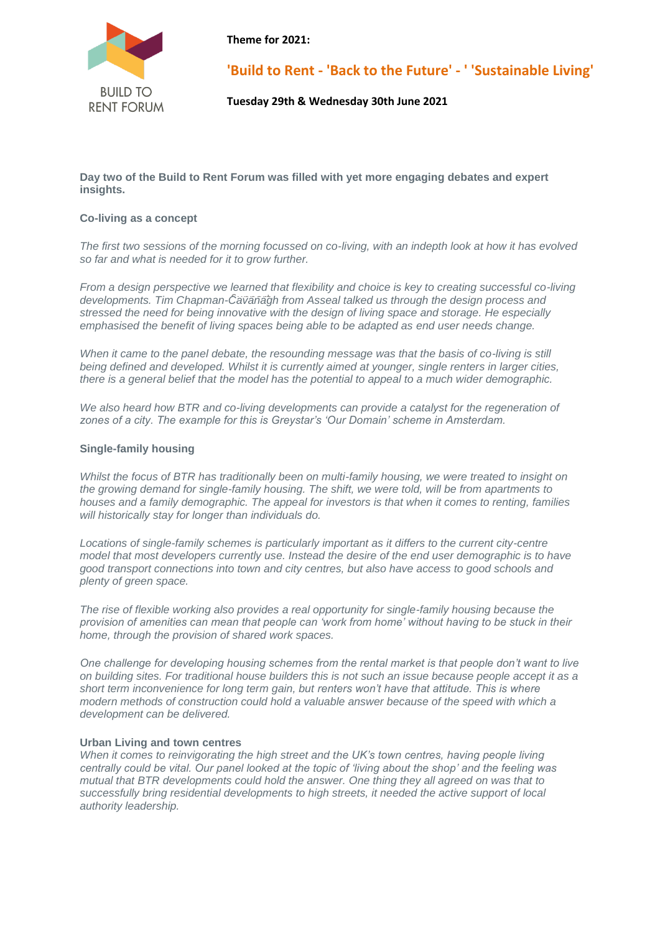

**Theme for 2021:**

**'Build to Rent - 'Back to the Future' - ' 'Sustainable Living'**

**Tuesday 29th & Wednesday 30th June 2021**

**Day two of the Build to Rent Forum was filled with yet more engaging debates and expert insights.**

# **Co-living as a concept**

*The first two sessions of the morning focussed on co-living, with an indepth look at how it has evolved so far and what is needed for it to grow further.*

developments. Tim Chapman-Cavanagh from Asseal talked us through the design process and *From a design perspective we learned that flexibility and choice is key to creating successful co-living stressed the need for being innovative with the design of living space and storage. He especially emphasised the benefit of living spaces being able to be adapted as end user needs change.*

*When it came to the panel debate, the resounding message was that the basis of co-living is still being defined and developed. Whilst it is currently aimed at younger, single renters in larger cities, there is a general belief that the model has the potential to appeal to a much wider demographic.*

We also heard how BTR and co-living developments can provide a catalyst for the regeneration of *zones of a city. The example for this is Greystar's 'Our Domain' scheme in Amsterdam.*

### **Single-family housing**

*Whilst the focus of BTR has traditionally been on multi-family housing, we were treated to insight on the growing demand for single-family housing. The shift, we were told, will be from apartments to houses and a family demographic. The appeal for investors is that when it comes to renting, families will historically stay for longer than individuals do.*

Locations of single-family schemes is particularly important as it differs to the current city-centre *model that most developers currently use. Instead the desire of the end user demographic is to have good transport connections into town and city centres, but also have access to good schools and plenty of green space.*

*The rise of flexible working also provides a real opportunity for single-family housing because the provision of amenities can mean that people can 'work from home' without having to be stuck in their home, through the provision of shared work spaces.*

*One challenge for developing housing schemes from the rental market is that people don't want to live on building sites. For traditional house builders this is not such an issue because people accept it as a short term inconvenience for long term gain, but renters won't have that attitude. This is where modern methods of construction could hold a valuable answer because of the speed with which a development can be delivered.*

### **Urban Living and town centres**

*When it comes to reinvigorating the high street and the UK's town centres, having people living centrally could be vital. Our panel looked at the topic of 'living about the shop' and the feeling was mutual that BTR developments could hold the answer. One thing they all agreed on was that to successfully bring residential developments to high streets, it needed the active support of local authority leadership.*